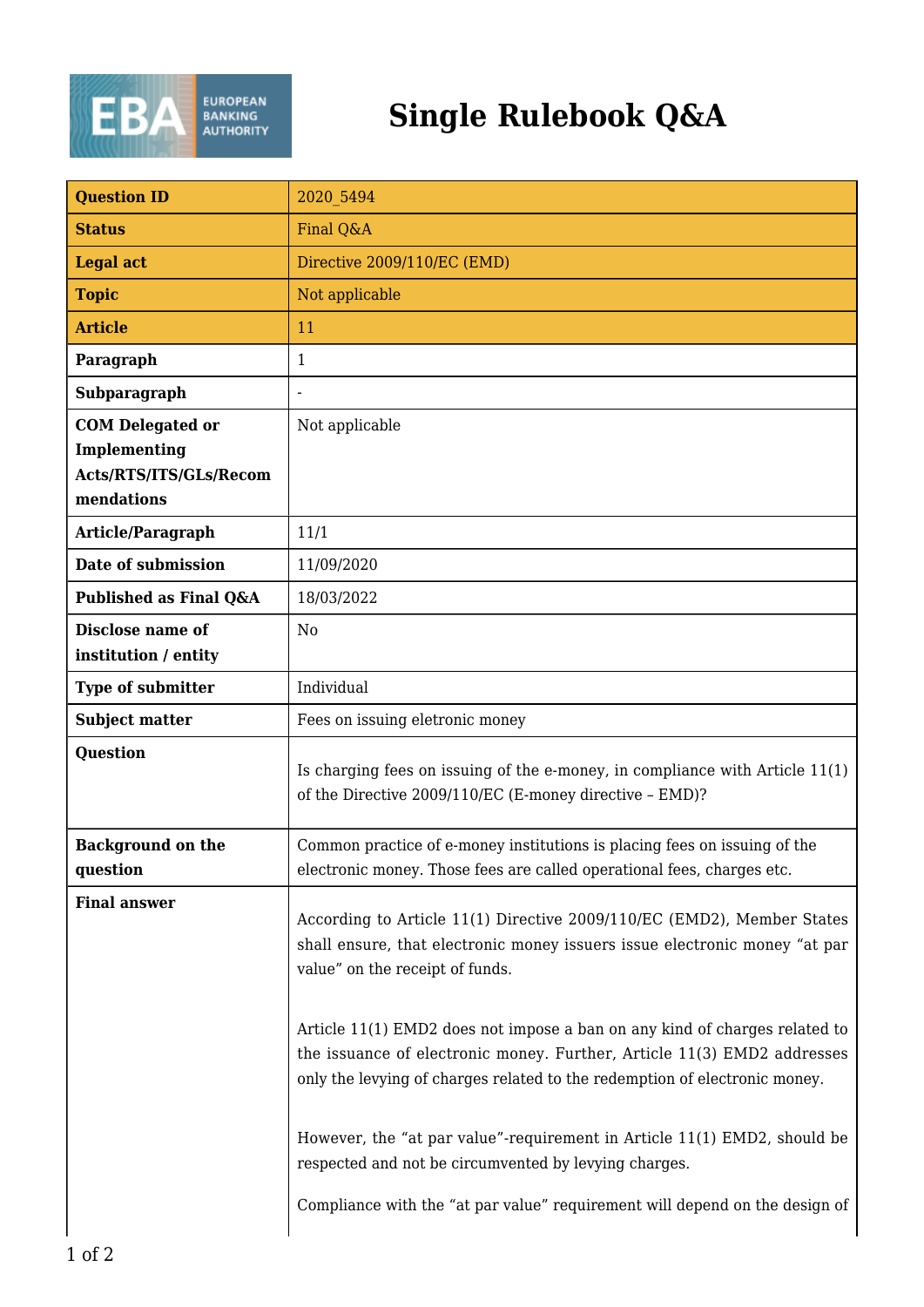

## **Single Rulebook Q&A**

| <b>Question ID</b>                                                              | 2020 5494                                                                                                                                                                                                                           |
|---------------------------------------------------------------------------------|-------------------------------------------------------------------------------------------------------------------------------------------------------------------------------------------------------------------------------------|
| <b>Status</b>                                                                   | Final Q&A                                                                                                                                                                                                                           |
| <b>Legal act</b>                                                                | Directive 2009/110/EC (EMD)                                                                                                                                                                                                         |
| <b>Topic</b>                                                                    | Not applicable                                                                                                                                                                                                                      |
| <b>Article</b>                                                                  | 11                                                                                                                                                                                                                                  |
| Paragraph                                                                       | 1                                                                                                                                                                                                                                   |
| Subparagraph                                                                    |                                                                                                                                                                                                                                     |
| <b>COM Delegated or</b><br>Implementing<br>Acts/RTS/ITS/GLs/Recom<br>mendations | Not applicable                                                                                                                                                                                                                      |
| Article/Paragraph                                                               | 11/1                                                                                                                                                                                                                                |
| Date of submission                                                              | 11/09/2020                                                                                                                                                                                                                          |
| Published as Final Q&A                                                          | 18/03/2022                                                                                                                                                                                                                          |
| Disclose name of<br>institution / entity                                        | N <sub>0</sub>                                                                                                                                                                                                                      |
| <b>Type of submitter</b>                                                        | Individual                                                                                                                                                                                                                          |
| <b>Subject matter</b>                                                           | Fees on issuing eletronic money                                                                                                                                                                                                     |
| <b>Question</b>                                                                 | Is charging fees on issuing of the e-money, in compliance with Article 11(1)<br>of the Directive 2009/110/EC (E-money directive - EMD)?                                                                                             |
| <b>Background on the</b><br>question                                            | Common practice of e-money institutions is placing fees on issuing of the<br>electronic money. Those fees are called operational fees, charges etc.                                                                                 |
| <b>Final answer</b>                                                             | According to Article 11(1) Directive 2009/110/EC (EMD2), Member States<br>shall ensure, that electronic money issuers issue electronic money "at par<br>value" on the receipt of funds.                                             |
|                                                                                 | Article 11(1) EMD2 does not impose a ban on any kind of charges related to<br>the issuance of electronic money. Further, Article 11(3) EMD2 addresses<br>only the levying of charges related to the redemption of electronic money. |
|                                                                                 | However, the "at par value"-requirement in Article 11(1) EMD2, should be<br>respected and not be circumvented by levying charges.<br>Compliance with the "at par value" requirement will depend on the design of                    |